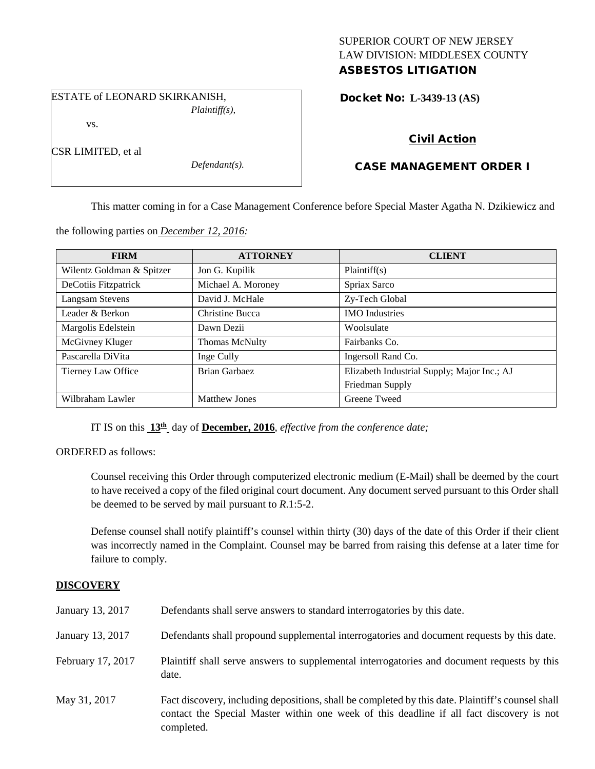## SUPERIOR COURT OF NEW JERSEY LAW DIVISION: MIDDLESEX COUNTY ASBESTOS LITIGATION

ESTATE of LEONARD SKIRKANISH, *Plaintiff(s),*

vs.

CSR LIMITED, et al

*Defendant(s).*

Docket No: **L-3439-13 (AS)** 

# Civil Action

# CASE MANAGEMENT ORDER I

This matter coming in for a Case Management Conference before Special Master Agatha N. Dzikiewicz and

the following parties on *December 12, 2016:*

| <b>FIRM</b>               | <b>ATTORNEY</b>      | <b>CLIENT</b>                               |
|---------------------------|----------------------|---------------------------------------------|
| Wilentz Goldman & Spitzer | Jon G. Kupilik       | Plaintiff(s)                                |
| DeCotiis Fitzpatrick      | Michael A. Moroney   | Spriax Sarco                                |
| Langsam Stevens           | David J. McHale      | Zy-Tech Global                              |
| Leader & Berkon           | Christine Bucca      | <b>IMO</b> Industries                       |
| Margolis Edelstein        | Dawn Dezii           | Woolsulate                                  |
| McGivney Kluger           | Thomas McNulty       | Fairbanks Co.                               |
| Pascarella DiVita         | Inge Cully           | Ingersoll Rand Co.                          |
| Tierney Law Office        | Brian Garbaez        | Elizabeth Industrial Supply; Major Inc.; AJ |
|                           |                      | Friedman Supply                             |
| Wilbraham Lawler          | <b>Matthew Jones</b> | Greene Tweed                                |

IT IS on this **13th** day of **December, 2016**, *effective from the conference date;*

ORDERED as follows:

Counsel receiving this Order through computerized electronic medium (E-Mail) shall be deemed by the court to have received a copy of the filed original court document. Any document served pursuant to this Order shall be deemed to be served by mail pursuant to *R*.1:5-2.

Defense counsel shall notify plaintiff's counsel within thirty (30) days of the date of this Order if their client was incorrectly named in the Complaint. Counsel may be barred from raising this defense at a later time for failure to comply.

## **DISCOVERY**

| January 13, 2017  | Defendants shall serve answers to standard interrogatories by this date.                                                                                                                                    |
|-------------------|-------------------------------------------------------------------------------------------------------------------------------------------------------------------------------------------------------------|
| January 13, 2017  | Defendants shall propound supplemental interrogatories and document requests by this date.                                                                                                                  |
| February 17, 2017 | Plaintiff shall serve answers to supplemental interrogatories and document requests by this<br>date.                                                                                                        |
| May 31, 2017      | Fact discovery, including depositions, shall be completed by this date. Plaintiff's counsel shall<br>contact the Special Master within one week of this deadline if all fact discovery is not<br>completed. |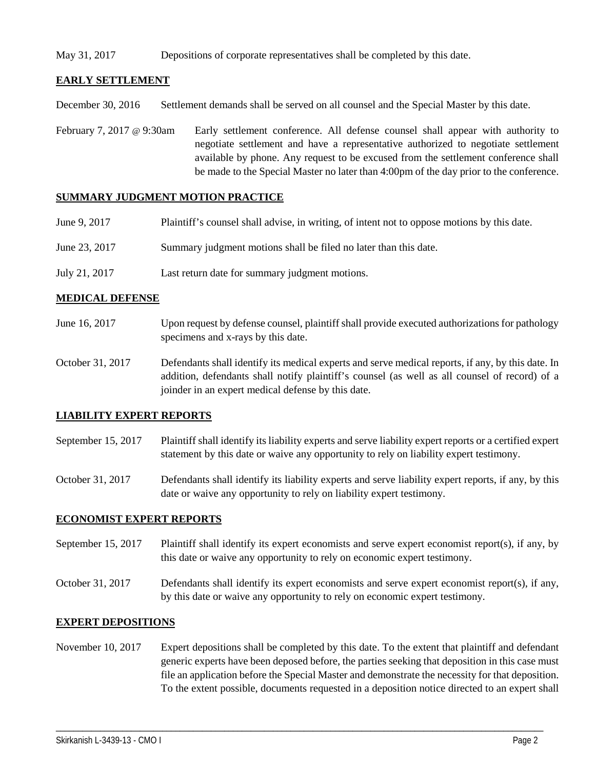### May 31, 2017 Depositions of corporate representatives shall be completed by this date.

## **EARLY SETTLEMENT**

December 30, 2016 Settlement demands shall be served on all counsel and the Special Master by this date.

February 7, 2017 @ 9:30am Early settlement conference. All defense counsel shall appear with authority to negotiate settlement and have a representative authorized to negotiate settlement available by phone. Any request to be excused from the settlement conference shall be made to the Special Master no later than 4:00pm of the day prior to the conference.

#### **SUMMARY JUDGMENT MOTION PRACTICE**

| June 9, 2017  | Plaintiff's counsel shall advise, in writing, of intent not to oppose motions by this date. |
|---------------|---------------------------------------------------------------------------------------------|
| June 23, 2017 | Summary judgment motions shall be filed no later than this date.                            |
| July 21, 2017 | Last return date for summary judgment motions.                                              |

#### **MEDICAL DEFENSE**

- June 16, 2017 Upon request by defense counsel, plaintiff shall provide executed authorizations for pathology specimens and x-rays by this date.
- October 31, 2017 Defendants shall identify its medical experts and serve medical reports, if any, by this date. In addition, defendants shall notify plaintiff's counsel (as well as all counsel of record) of a joinder in an expert medical defense by this date.

#### **LIABILITY EXPERT REPORTS**

- September 15, 2017 Plaintiff shall identify its liability experts and serve liability expert reports or a certified expert statement by this date or waive any opportunity to rely on liability expert testimony.
- October 31, 2017 Defendants shall identify its liability experts and serve liability expert reports, if any, by this date or waive any opportunity to rely on liability expert testimony.

#### **ECONOMIST EXPERT REPORTS**

- September 15, 2017 Plaintiff shall identify its expert economists and serve expert economist report(s), if any, by this date or waive any opportunity to rely on economic expert testimony.
- October 31, 2017 Defendants shall identify its expert economists and serve expert economist report(s), if any, by this date or waive any opportunity to rely on economic expert testimony.

#### **EXPERT DEPOSITIONS**

November 10, 2017 Expert depositions shall be completed by this date. To the extent that plaintiff and defendant generic experts have been deposed before, the parties seeking that deposition in this case must file an application before the Special Master and demonstrate the necessity for that deposition. To the extent possible, documents requested in a deposition notice directed to an expert shall

\_\_\_\_\_\_\_\_\_\_\_\_\_\_\_\_\_\_\_\_\_\_\_\_\_\_\_\_\_\_\_\_\_\_\_\_\_\_\_\_\_\_\_\_\_\_\_\_\_\_\_\_\_\_\_\_\_\_\_\_\_\_\_\_\_\_\_\_\_\_\_\_\_\_\_\_\_\_\_\_\_\_\_\_\_\_\_\_\_\_\_\_\_\_\_\_\_\_\_\_\_\_\_\_\_\_\_\_\_\_